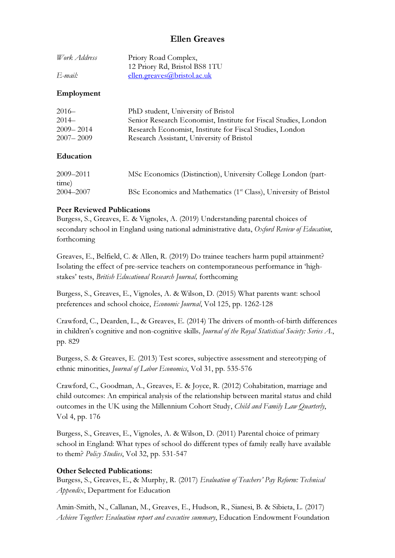# Ellen Greaves

| Work Address | Priory Road Complex,          |
|--------------|-------------------------------|
|              | 12 Priory Rd, Bristol BS8 1TU |
| E-mail:      | ellen.greaves@bristol.ac.uk   |

### Employment

| $2016-$       | PhD student, University of Bristol                              |
|---------------|-----------------------------------------------------------------|
| $2014-$       | Senior Research Economist, Institute for Fiscal Studies, London |
| $2009 - 2014$ | Research Economist, Institute for Fiscal Studies, London        |
| $2007 - 2009$ | Research Assistant, University of Bristol                       |
|               |                                                                 |

#### Education

| 2009-2011 | MSc Economics (Distinction), University College London (part-                |
|-----------|------------------------------------------------------------------------------|
| time)     |                                                                              |
| 2004–2007 | BSc Economics and Mathematics (1 <sup>st</sup> Class), University of Bristol |

#### Peer Reviewed Publications

Burgess, S., Greaves, E. & Vignoles, A. (2019) Understanding parental choices of secondary school in England using national administrative data, Oxford Review of Education, forthcoming

Greaves, E., Belfield, C. & Allen, R. (2019) Do trainee teachers harm pupil attainment? Isolating the effect of pre-service teachers on contemporaneous performance in 'highstakes' tests, British Educational Research Journal, forthcoming

Burgess, S., Greaves, E., Vignoles, A. & Wilson, D. (2015) What parents want: school preferences and school choice, Economic Journal, Vol 125, pp. 1262-128

Crawford, C., Dearden, L., & Greaves, E. (2014) The drivers of month-of-birth differences in children's cognitive and non-cognitive skills, Journal of the Royal Statistical Society: Series A., pp. 829

Burgess, S. & Greaves, E. (2013) Test scores, subjective assessment and stereotyping of ethnic minorities, Journal of Labor Economics, Vol 31, pp. 535-576

Crawford, C., Goodman, A., Greaves, E. & Joyce, R. (2012) Cohabitation, marriage and child outcomes: An empirical analysis of the relationship between marital status and child outcomes in the UK using the Millennium Cohort Study, Child and Family Law Quarterly, Vol 4, pp. 176

Burgess, S., Greaves, E., Vignoles, A. & Wilson, D. (2011) Parental choice of primary school in England: What types of school do different types of family really have available to them? Policy Studies, Vol 32, pp. 531-547

## Other Selected Publications:

Burgess, S., Greaves, E., & Murphy, R. (2017) Evaluation of Teachers' Pay Reform: Technical Appendix, Department for Education

Amin-Smith, N., Callanan, M., Greaves, E., Hudson, R., Sianesi, B. & Sibieta, L. (2017) Achieve Together: Evaluation report and executive summary, Education Endowment Foundation